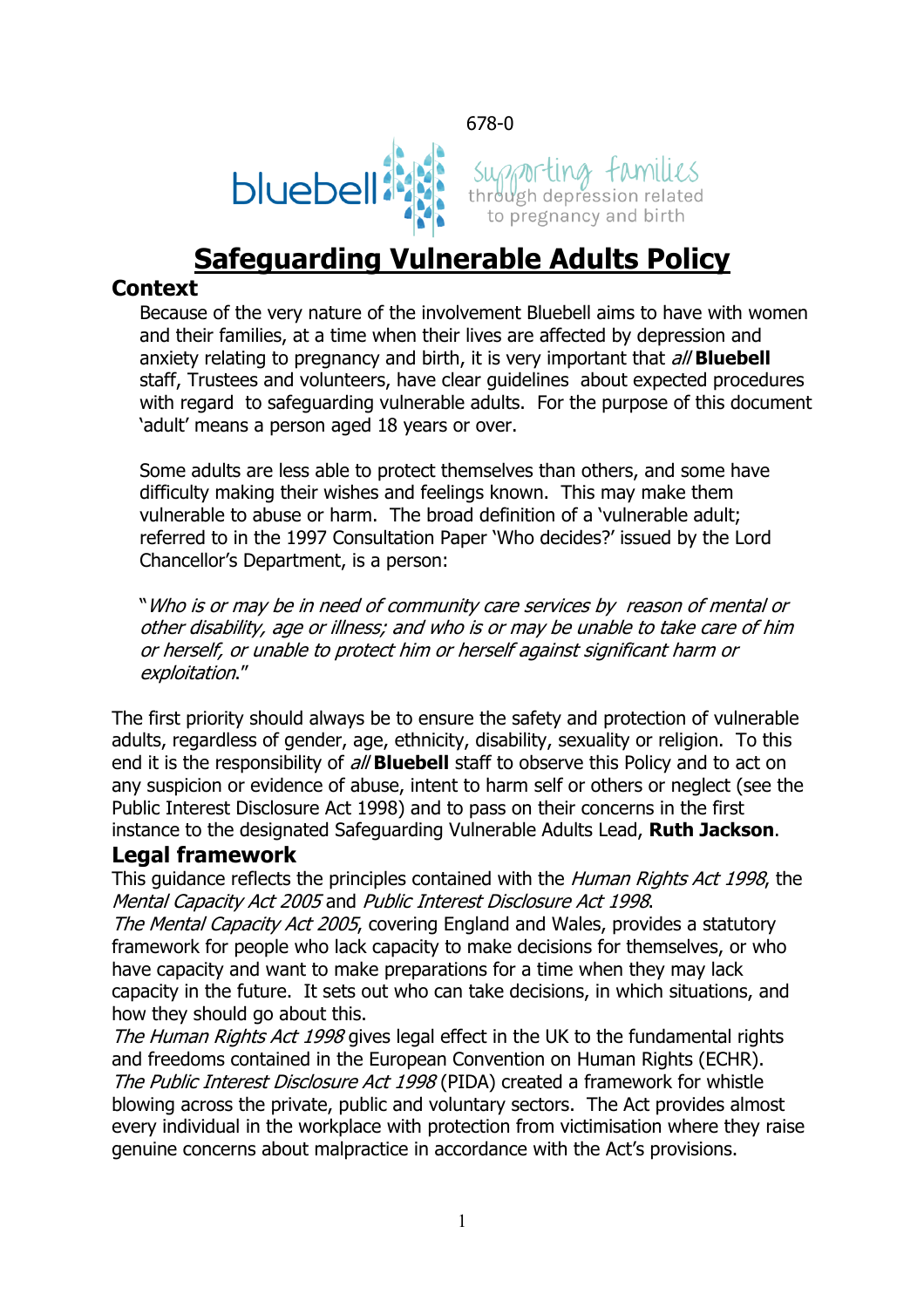678-0





# **Safeguarding Vulnerable Adults Policy**

### **Context**

Because of the very nature of the involvement Bluebell aims to have with women and their families, at a time when their lives are affected by depression and anxiety relating to pregnancy and birth, it is very important that all **Bluebell** staff, Trustees and volunteers, have clear guidelines about expected procedures with regard to safeguarding vulnerable adults. For the purpose of this document 'adult' means a person aged 18 years or over.

Some adults are less able to protect themselves than others, and some have difficulty making their wishes and feelings known. This may make them vulnerable to abuse or harm. The broad definition of a 'vulnerable adult; referred to in the 1997 Consultation Paper 'Who decides?' issued by the Lord Chancellor's Department, is a person:

"Who is or may be in need of community care services by reason of mental or other disability, age or illness; and who is or may be unable to take care of him or herself, or unable to protect him or herself against significant harm or exploitation."

The first priority should always be to ensure the safety and protection of vulnerable adults, regardless of gender, age, ethnicity, disability, sexuality or religion. To this end it is the responsibility of all **Bluebell** staff to observe this Policy and to act on any suspicion or evidence of abuse, intent to harm self or others or neglect (see the Public Interest Disclosure Act 1998) and to pass on their concerns in the first instance to the designated Safeguarding Vulnerable Adults Lead, **Ruth Jackson**.

## **Legal framework**

This guidance reflects the principles contained with the *Human Rights Act 1998*, the Mental Capacity Act 2005 and Public Interest Disclosure Act 1998.

The Mental Capacity Act 2005, covering England and Wales, provides a statutory framework for people who lack capacity to make decisions for themselves, or who have capacity and want to make preparations for a time when they may lack capacity in the future. It sets out who can take decisions, in which situations, and how they should go about this.

The Human Rights Act 1998 gives legal effect in the UK to the fundamental rights and freedoms contained in the European Convention on Human Rights (ECHR). The Public Interest Disclosure Act 1998 (PIDA) created a framework for whistle blowing across the private, public and voluntary sectors. The Act provides almost every individual in the workplace with protection from victimisation where they raise genuine concerns about malpractice in accordance with the Act's provisions.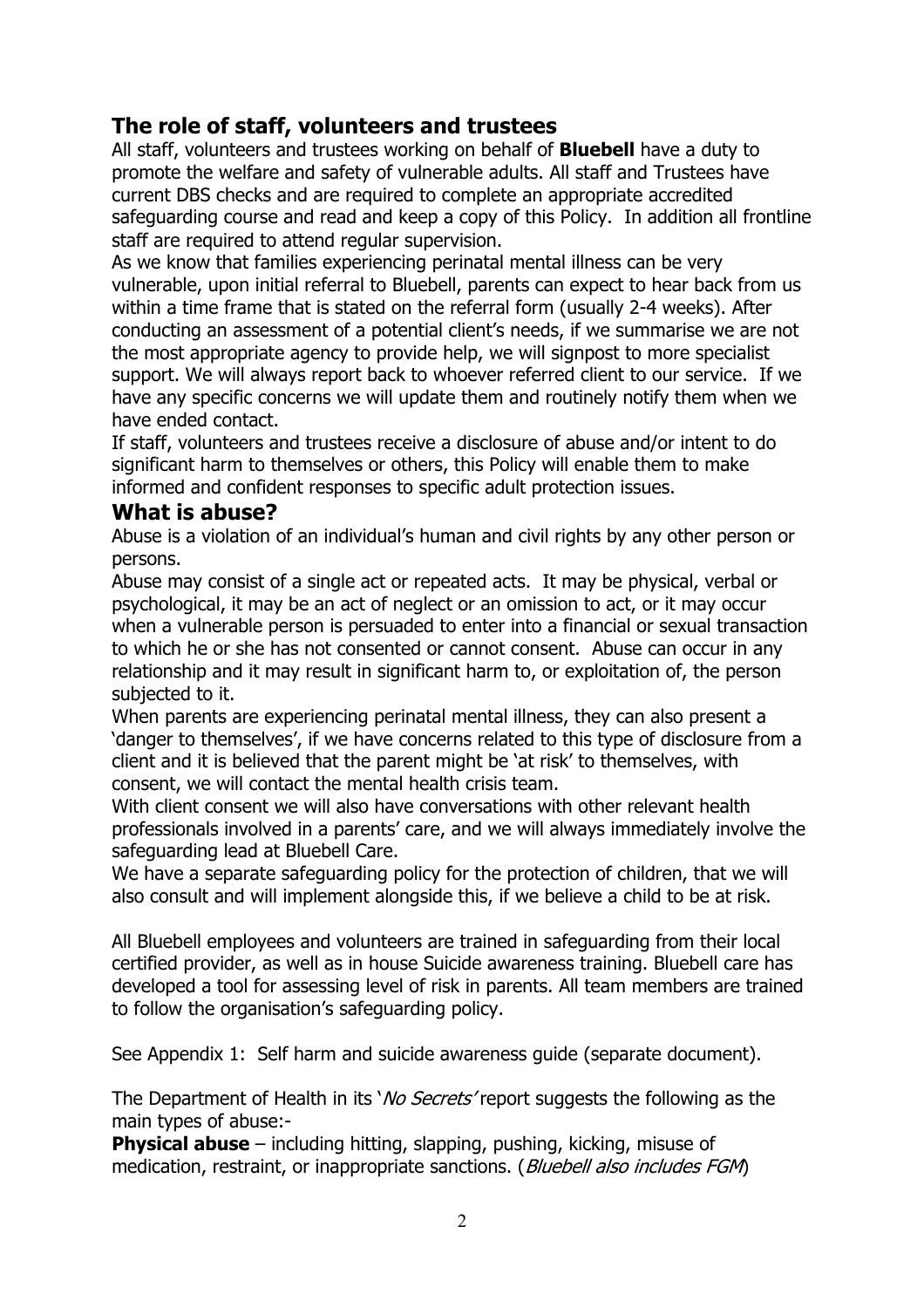## **The role of staff, volunteers and trustees**

All staff, volunteers and trustees working on behalf of **Bluebell** have a duty to promote the welfare and safety of vulnerable adults. All staff and Trustees have current DBS checks and are required to complete an appropriate accredited safeguarding course and read and keep a copy of this Policy. In addition all frontline staff are required to attend regular supervision.

As we know that families experiencing perinatal mental illness can be very vulnerable, upon initial referral to Bluebell, parents can expect to hear back from us within a time frame that is stated on the referral form (usually 2-4 weeks). After conducting an assessment of a potential client's needs, if we summarise we are not the most appropriate agency to provide help, we will signpost to more specialist support. We will always report back to whoever referred client to our service. If we have any specific concerns we will update them and routinely notify them when we have ended contact.

If staff, volunteers and trustees receive a disclosure of abuse and/or intent to do significant harm to themselves or others, this Policy will enable them to make informed and confident responses to specific adult protection issues.

#### **What is abuse?**

Abuse is a violation of an individual's human and civil rights by any other person or persons.

Abuse may consist of a single act or repeated acts. It may be physical, verbal or psychological, it may be an act of neglect or an omission to act, or it may occur when a vulnerable person is persuaded to enter into a financial or sexual transaction to which he or she has not consented or cannot consent. Abuse can occur in any relationship and it may result in significant harm to, or exploitation of, the person subjected to it.

When parents are experiencing perinatal mental illness, they can also present a 'danger to themselves', if we have concerns related to this type of disclosure from a client and it is believed that the parent might be 'at risk' to themselves, with consent, we will contact the mental health crisis team.

With client consent we will also have conversations with other relevant health professionals involved in a parents' care, and we will always immediately involve the safeguarding lead at Bluebell Care.

We have a separate safeguarding policy for the protection of children, that we will also consult and will implement alongside this, if we believe a child to be at risk.

All Bluebell employees and volunteers are trained in safeguarding from their local certified provider, as well as in house Suicide awareness training. Bluebell care has developed a tool for assessing level of risk in parents. All team members are trained to follow the organisation's safeguarding policy.

See Appendix 1: Self harm and suicide awareness guide (separate document).

The Department of Health in its '*No Secrets'* report suggests the following as the main types of abuse:-

**Physical abuse** – including hitting, slapping, pushing, kicking, misuse of medication, restraint, or inappropriate sanctions. (Bluebell also includes FGM)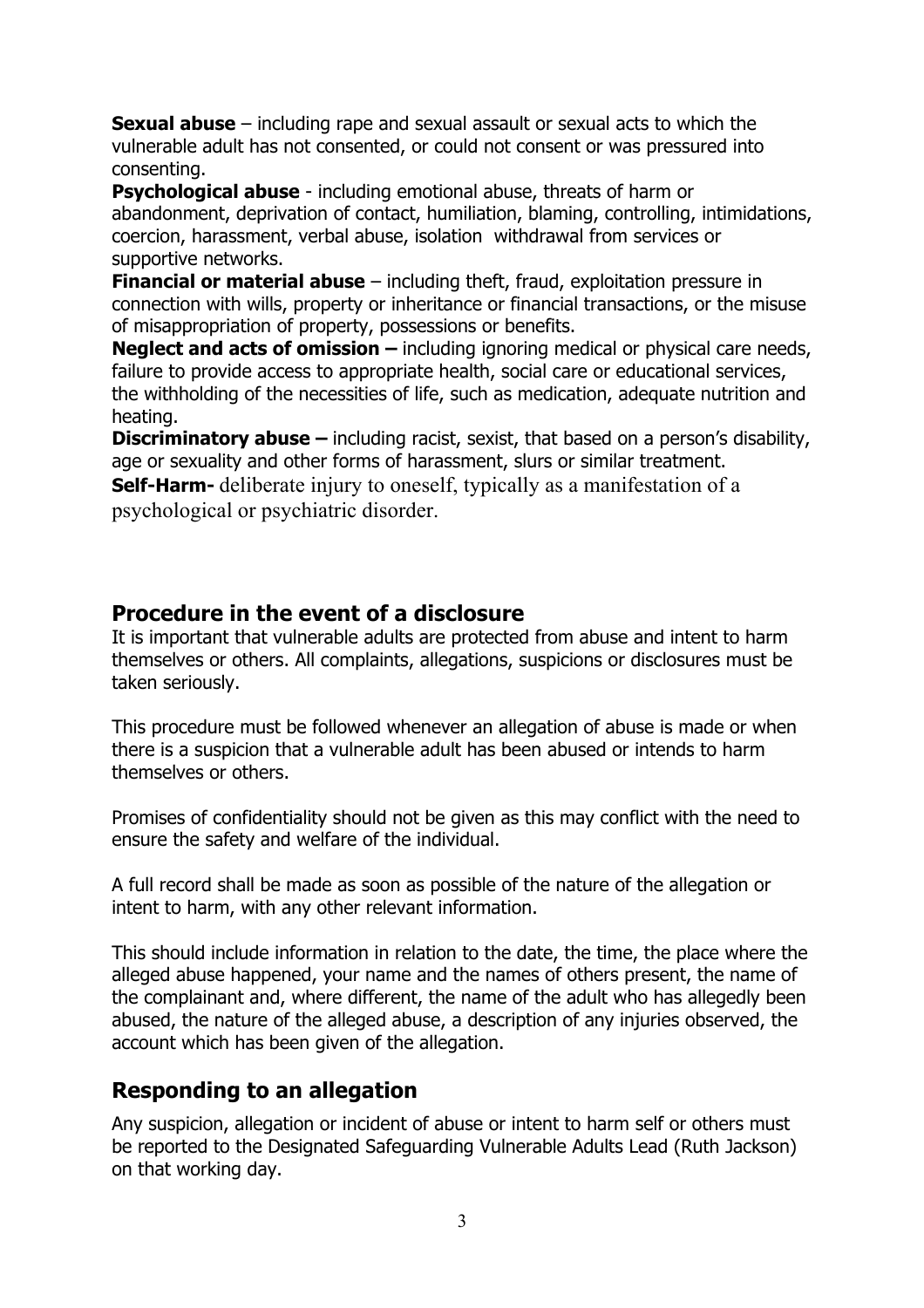**Sexual abuse** – including rape and sexual assault or sexual acts to which the vulnerable adult has not consented, or could not consent or was pressured into consenting.

**Psychological abuse** - including emotional abuse, threats of harm or abandonment, deprivation of contact, humiliation, blaming, controlling, intimidations, coercion, harassment, verbal abuse, isolation withdrawal from services or supportive networks.

**Financial or material abuse** – including theft, fraud, exploitation pressure in connection with wills, property or inheritance or financial transactions, or the misuse of misappropriation of property, possessions or benefits.

**Neglect and acts of omission –** including ignoring medical or physical care needs, failure to provide access to appropriate health, social care or educational services, the withholding of the necessities of life, such as medication, adequate nutrition and heating.

**Discriminatory abuse –** including racist, sexist, that based on a person's disability, age or sexuality and other forms of harassment, slurs or similar treatment.

**Self-Harm-** deliberate injury to oneself, typically as a manifestation of a psychological or psychiatric disorder.

## **Procedure in the event of a disclosure**

It is important that vulnerable adults are protected from abuse and intent to harm themselves or others. All complaints, allegations, suspicions or disclosures must be taken seriously.

This procedure must be followed whenever an allegation of abuse is made or when there is a suspicion that a vulnerable adult has been abused or intends to harm themselves or others.

Promises of confidentiality should not be given as this may conflict with the need to ensure the safety and welfare of the individual.

A full record shall be made as soon as possible of the nature of the allegation or intent to harm, with any other relevant information.

This should include information in relation to the date, the time, the place where the alleged abuse happened, your name and the names of others present, the name of the complainant and, where different, the name of the adult who has allegedly been abused, the nature of the alleged abuse, a description of any injuries observed, the account which has been given of the allegation.

## **Responding to an allegation**

Any suspicion, allegation or incident of abuse or intent to harm self or others must be reported to the Designated Safeguarding Vulnerable Adults Lead (Ruth Jackson) on that working day.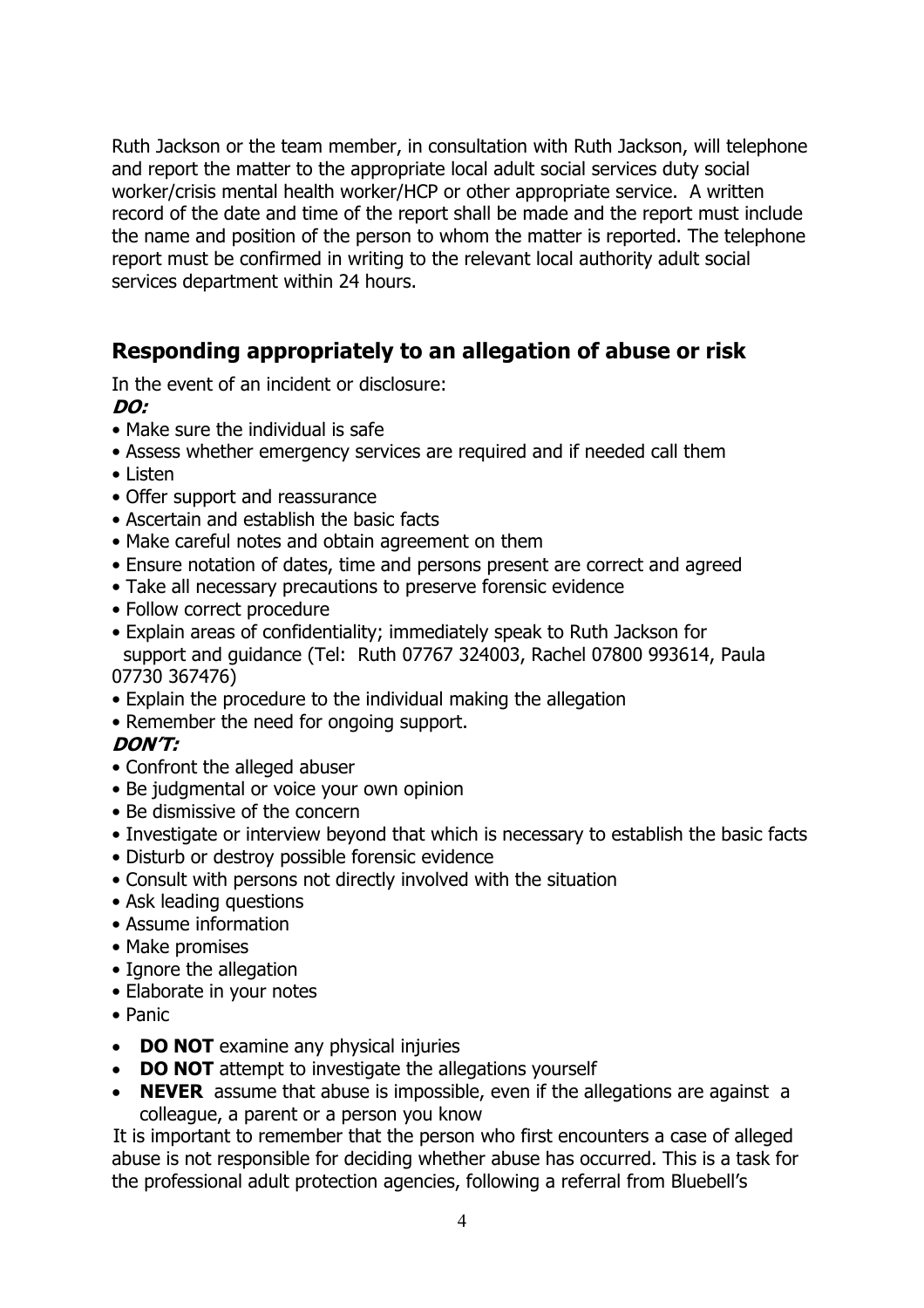Ruth Jackson or the team member, in consultation with Ruth Jackson, will telephone and report the matter to the appropriate local adult social services duty social worker/crisis mental health worker/HCP or other appropriate service. A written record of the date and time of the report shall be made and the report must include the name and position of the person to whom the matter is reported. The telephone report must be confirmed in writing to the relevant local authority adult social services department within 24 hours.

## **Responding appropriately to an allegation of abuse or risk**

In the event of an incident or disclosure:

#### **DO:**

- Make sure the individual is safe
- Assess whether emergency services are required and if needed call them
- Listen
- Offer support and reassurance
- Ascertain and establish the basic facts
- Make careful notes and obtain agreement on them
- Ensure notation of dates, time and persons present are correct and agreed
- Take all necessary precautions to preserve forensic evidence
- Follow correct procedure
- Explain areas of confidentiality; immediately speak to Ruth Jackson for support and guidance (Tel: Ruth 07767 324003, Rachel 07800 993614, Paula

#### 07730 367476)

- Explain the procedure to the individual making the allegation
- Remember the need for ongoing support.

### **DON'T:**

- Confront the alleged abuser
- Be judgmental or voice your own opinion
- Be dismissive of the concern
- Investigate or interview beyond that which is necessary to establish the basic facts
- Disturb or destroy possible forensic evidence
- Consult with persons not directly involved with the situation
- Ask leading questions
- Assume information
- Make promises
- Ignore the allegation
- Elaborate in your notes
- Panic
- **DO NOT** examine any physical injuries
- **DO NOT** attempt to investigate the allegations yourself
- **NEVER** assume that abuse is impossible, even if the allegations are against a colleague, a parent or a person you know

 It is important to remember that the person who first encounters a case of alleged abuse is not responsible for deciding whether abuse has occurred. This is a task for the professional adult protection agencies, following a referral from Bluebell's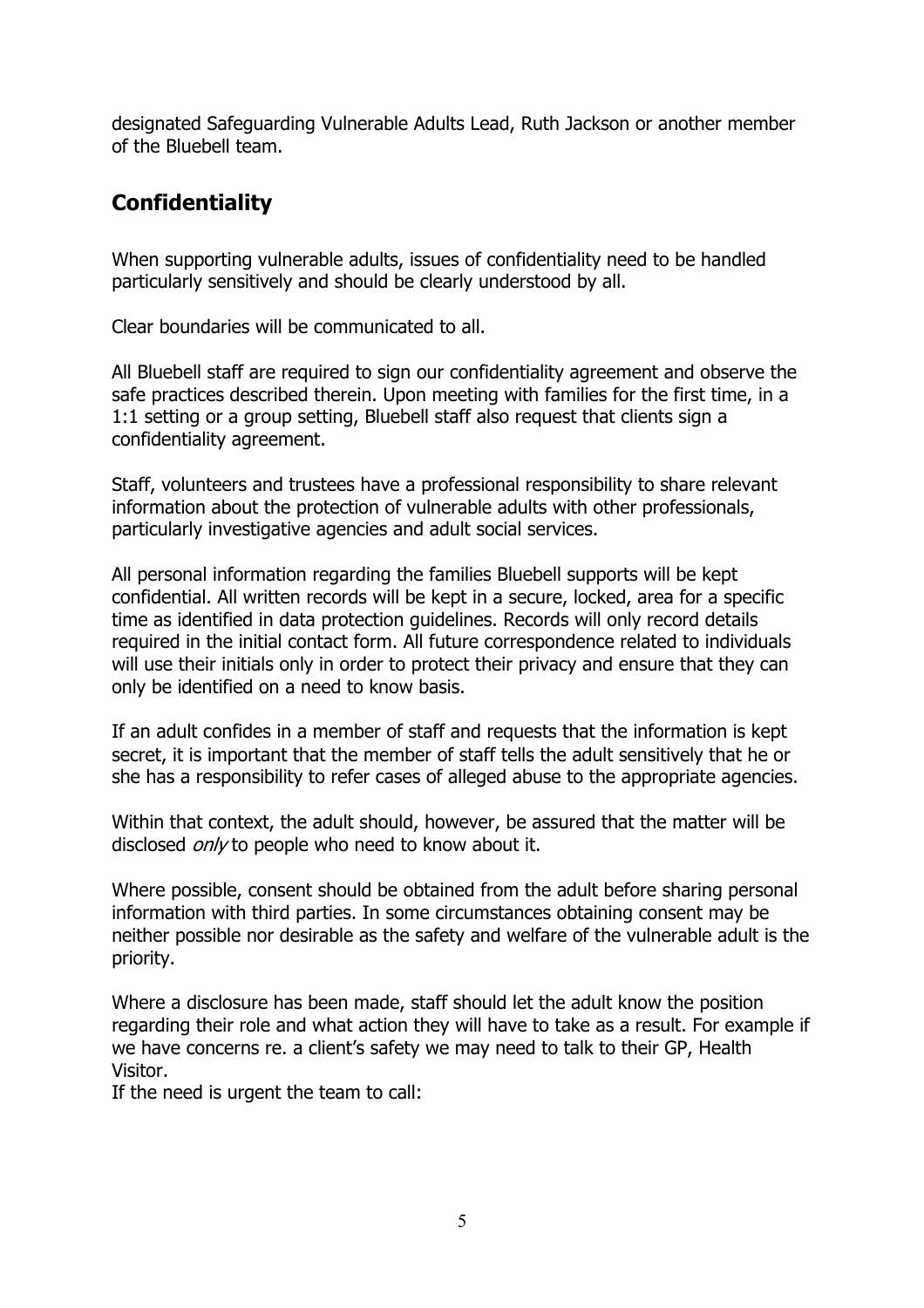designated Safeguarding Vulnerable Adults Lead, Ruth Jackson or another member of the Bluebell team.

# **Confidentiality**

When supporting vulnerable adults, issues of confidentiality need to be handled particularly sensitively and should be clearly understood by all.

Clear boundaries will be communicated to all.

All Bluebell staff are required to sign our confidentiality agreement and observe the safe practices described therein. Upon meeting with families for the first time, in a 1:1 setting or a group setting, Bluebell staff also request that clients sign a confidentiality agreement.

Staff, volunteers and trustees have a professional responsibility to share relevant information about the protection of vulnerable adults with other professionals, particularly investigative agencies and adult social services.

All personal information regarding the families Bluebell supports will be kept confidential. All written records will be kept in a secure, locked, area for a specific time as identified in data protection guidelines. Records will only record details required in the initial contact form. All future correspondence related to individuals will use their initials only in order to protect their privacy and ensure that they can only be identified on a need to know basis.

If an adult confides in a member of staff and requests that the information is kept secret, it is important that the member of staff tells the adult sensitively that he or she has a responsibility to refer cases of alleged abuse to the appropriate agencies.

Within that context, the adult should, however, be assured that the matter will be disclosed  $\omega n/\nu$  to people who need to know about it.

Where possible, consent should be obtained from the adult before sharing personal information with third parties. In some circumstances obtaining consent may be neither possible nor desirable as the safety and welfare of the vulnerable adult is the priority.

Where a disclosure has been made, staff should let the adult know the position regarding their role and what action they will have to take as a result. For example if we have concerns re. a client's safety we may need to talk to their GP, Health Visitor.

If the need is urgent the team to call: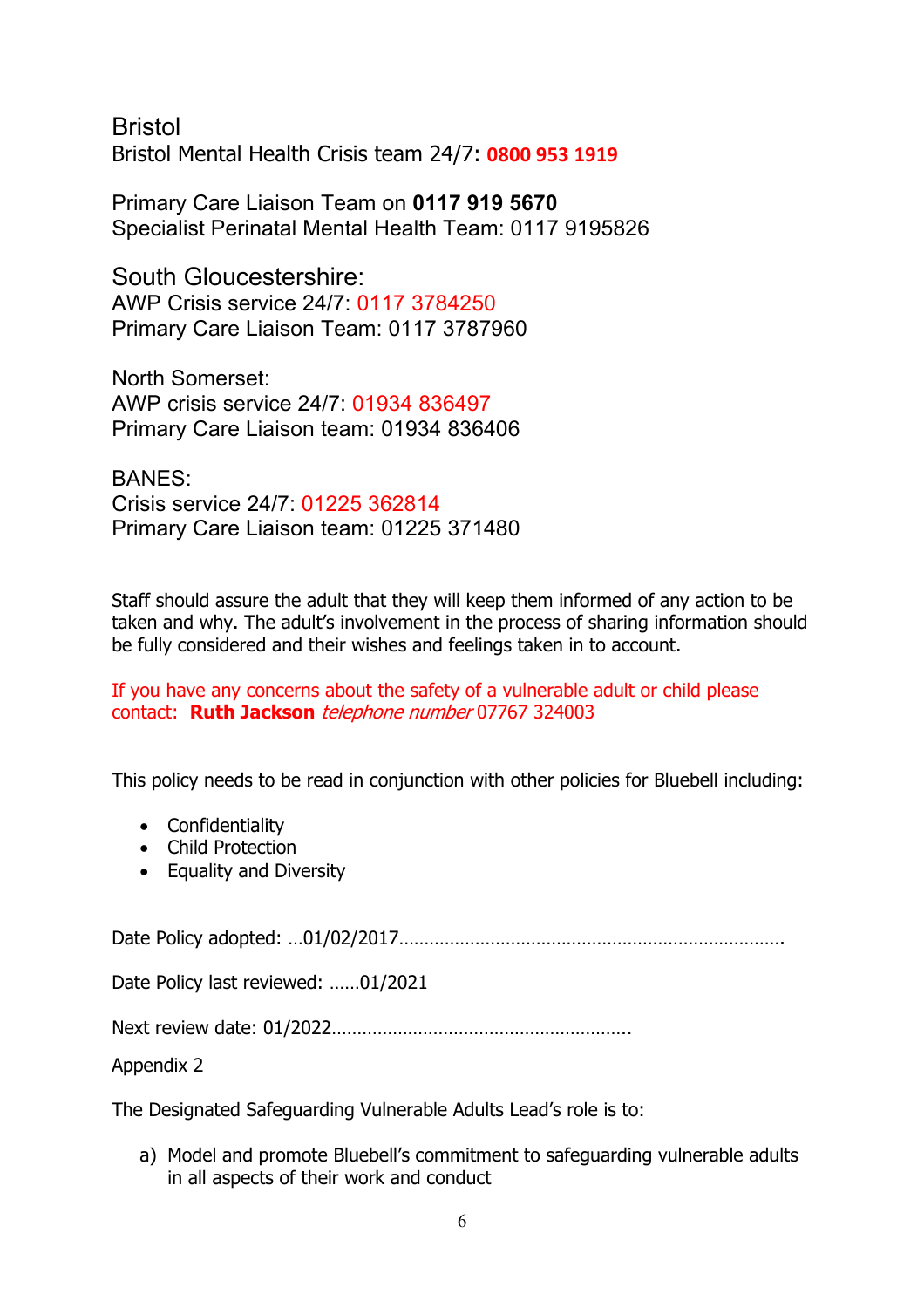Bristol Bristol Mental Health Crisis team 24/7: **0800 953 1919**

Primary Care Liaison Team on **0117 919 5670** Specialist Perinatal Mental Health Team: 0117 9195826

South Gloucestershire: AWP Crisis service 24/7: 0117 3784250 Primary Care Liaison Team: 0117 3787960

North Somerset: AWP crisis service 24/7: 01934 836497 Primary Care Liaison team: 01934 836406

BANES: Crisis service 24/7: 01225 362814 Primary Care Liaison team: 01225 371480

Staff should assure the adult that they will keep them informed of any action to be taken and why. The adult's involvement in the process of sharing information should be fully considered and their wishes and feelings taken in to account.

If you have any concerns about the safety of a vulnerable adult or child please contact: **Ruth Jackson** telephone number 07767 324003

This policy needs to be read in conjunction with other policies for Bluebell including:

- Confidentiality
- Child Protection
- Equality and Diversity

Date Policy adopted: …01/02/2017………………………………………………………………….

Date Policy last reviewed: ……01/2021

Next review date: 01/2022…………………………………………………..

Appendix 2

The Designated Safeguarding Vulnerable Adults Lead's role is to:

a) Model and promote Bluebell's commitment to safeguarding vulnerable adults in all aspects of their work and conduct